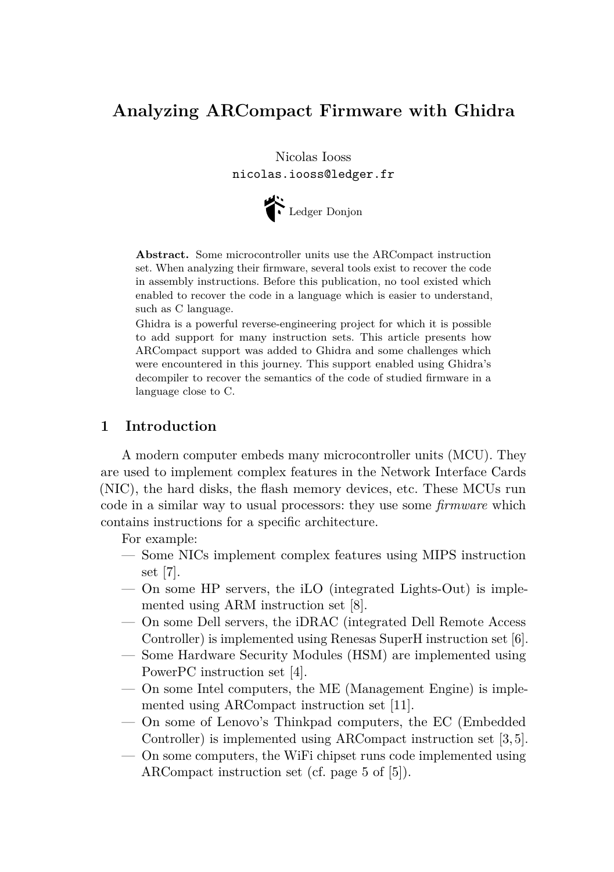# **Analyzing ARCompact Firmware with Ghidra**

Nicolas Iooss nicolas.iooss@ledger.fr



**Abstract.** Some microcontroller units use the ARCompact instruction set. When analyzing their firmware, several tools exist to recover the code in assembly instructions. Before this publication, no tool existed which enabled to recover the code in a language which is easier to understand, such as C language.

Ghidra is a powerful reverse-engineering project for which it is possible to add support for many instruction sets. This article presents how ARCompact support was added to Ghidra and some challenges which were encountered in this journey. This support enabled using Ghidra's decompiler to recover the semantics of the code of studied firmware in a language close to C.

## **1 Introduction**

A modern computer embeds many microcontroller units (MCU). They are used to implement complex features in the Network Interface Cards (NIC), the hard disks, the flash memory devices, etc. These MCUs run code in a similar way to usual processors: they use some *firmware* which contains instructions for a specific architecture.

For example:

- Some NICs implement complex features using MIPS instruction set [\[7\]](#page-8-0).
- On some HP servers, the iLO (integrated Lights-Out) is implemented using ARM instruction set [\[8\]](#page-8-1).
- On some Dell servers, the iDRAC (integrated Dell Remote Access Controller) is implemented using Renesas SuperH instruction set [\[6\]](#page-8-2).
- Some Hardware Security Modules (HSM) are implemented using PowerPC instruction set [\[4\]](#page-8-3).
- On some Intel computers, the ME (Management Engine) is implemented using ARCompact instruction set [\[11\]](#page-8-4).
- On some of Lenovo's Thinkpad computers, the EC (Embedded Controller) is implemented using ARCompact instruction set [\[3,](#page-8-5) [5\]](#page-8-6).
- On some computers, the WiFi chipset runs code implemented using ARCompact instruction set (cf. page 5 of [\[5\]](#page-8-6)).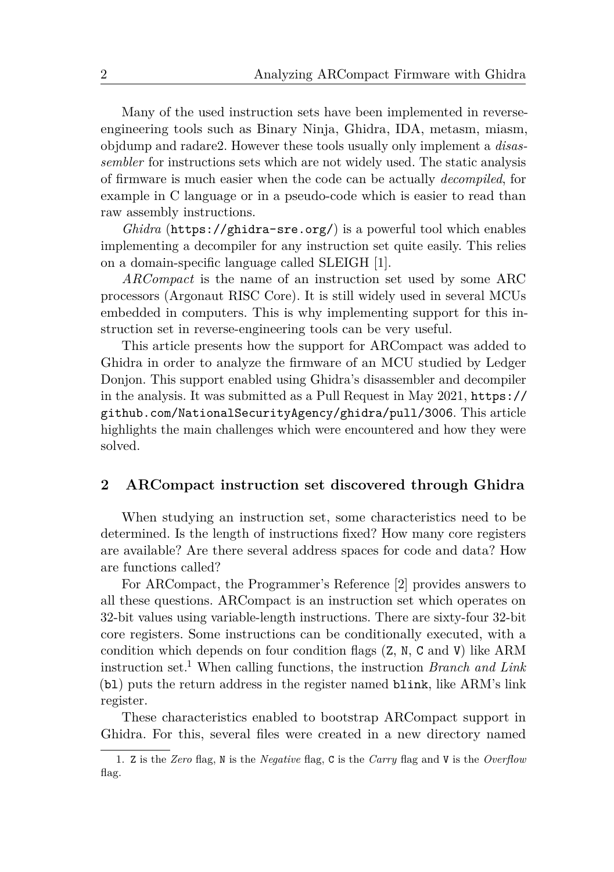Many of the used instruction sets have been implemented in reverseengineering tools such as [Binary Ninja,](https://binary.ninja/) [Ghidra,](https://ghidra-sre.org/) [IDA,](https://www.hex-rays.com/products/ida/) [metasm,](https://github.com/jjyg/metasm) [miasm,](https://github.com/cea-sec/miasm) [objdump](https://man7.org/linux/man-pages/man1/objdump.1.html) and [radare2.](https://github.com/radareorg/radare2) However these tools usually only implement a *disassembler* for instructions sets which are not widely used. The static analysis of firmware is much easier when the code can be actually *decompiled*, for example in C language or in a pseudo-code which is easier to read than raw assembly instructions.

*Ghidra* (<https://ghidra-sre.org/>) is a powerful tool which enables implementing a decompiler for any instruction set quite easily. This relies on a domain-specific language called SLEIGH [\[1\]](#page-8-7).

*ARCompact* is the name of an instruction set used by some ARC processors (Argonaut RISC Core). It is still widely used in several MCUs embedded in computers. This is why implementing support for this instruction set in reverse-engineering tools can be very useful.

This article presents how the support for ARCompact was added to Ghidra in order to analyze the firmware of an MCU studied by Ledger Donjon. This support enabled using Ghidra's disassembler and decompiler in the analysis. It was submitted as a Pull Request in May 2021, [https://](https://github.com/NationalSecurityAgency/ghidra/pull/3006) [github.com/NationalSecurityAgency/ghidra/pull/3006](https://github.com/NationalSecurityAgency/ghidra/pull/3006). This article highlights the main challenges which were encountered and how they were solved.

## **2 ARCompact instruction set discovered through Ghidra**

When studying an instruction set, some characteristics need to be determined. Is the length of instructions fixed? How many core registers are available? Are there several address spaces for code and data? How are functions called?

For ARCompact, the Programmer's Reference [\[2\]](#page-8-8) provides answers to all these questions. ARCompact is an instruction set which operates on 32-bit values using variable-length instructions. There are sixty-four 32-bit core registers. Some instructions can be conditionally executed, with a condition which depends on four condition flags (Z, N, C and V) like ARM instruction set.[1](#page-1-0) When calling functions, the instruction *Branch and Link* (bl) puts the return address in the register named blink, like ARM's link register.

These characteristics enabled to bootstrap ARCompact support in Ghidra. For this, several files were created in a new directory named

<span id="page-1-0"></span><sup>1.</sup> Z is the *Zero* flag, N is the *Negative* flag, C is the *Carry* flag and V is the *Overflow* flag.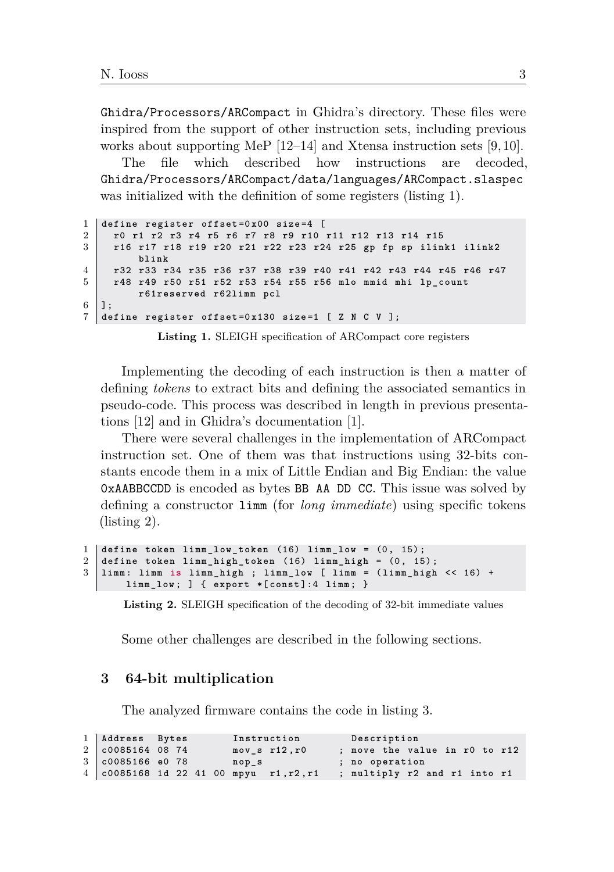Ghidra/Processors/ARCompact in Ghidra's directory. These files were inspired from the support of other instruction sets, including previous works about supporting MeP [\[12–](#page-8-9)[14\]](#page-8-10) and Xtensa instruction sets [\[9,](#page-8-11) [10\]](#page-8-12).

The file which described how instructions are decoded, Ghidra/Processors/ARCompact/data/languages/ARCompact.slaspec was initialized with the definition of some registers (listing [1\)](#page-2-0).

```
1 define register offset =0 x00 size =4 [
2 r0 r1 r2 r3 r4 r5 r6 r7 r8 r9 r10 r11 r12 r13 r14 r15
3 r16 r17 r18 r19 r20 r21 r22 r23 r24 r25 gp fp sp ilink1 ilink2
        blink
4 r32 r33 r34 r35 r36 r37 r38 r39 r40 r41 r42 r43 r44 r45 r46 r47
5 r48 r49 r50 r51 r52 r53 r54 r55 r56 mlo mmid mhi lp_count
        r61reserved r62limm pcl
6 \mid  ];
7 define register offset =0 x130 size =1 [ Z N C V ];
```
**Listing 1.** SLEIGH specification of ARCompact core registers

Implementing the decoding of each instruction is then a matter of defining *tokens* to extract bits and defining the associated semantics in pseudo-code. This process was described in length in previous presentations [\[12\]](#page-8-9) and in Ghidra's documentation [\[1\]](#page-8-7).

There were several challenges in the implementation of ARCompact instruction set. One of them was that instructions using 32-bits constants encode them in a mix of Little Endian and Big Endian: the value 0xAABBCCDD is encoded as bytes BB AA DD CC. This issue was solved by defining a constructor limm (for *long immediate*) using specific tokens (listing [2\)](#page-2-1).

```
1 define token limm_low_token (16) limm_low = (0, 15);
2 define token limm_high_token (16) limm_high = (0, 15);
3 limm : limm is limm_high ; limm_low [ limm = ( limm_high << 16) +
      limm_low ; ] { export *[ const ]:4 limm ; }
```
**Listing 2.** SLEIGH specification of the decoding of 32-bit immediate values

Some other challenges are described in the following sections.

#### **3 64-bit multiplication**

The analyzed firmware contains the code in listing [3.](#page-2-2)

```
1 Address Bytes Instruction Description
  2 c0085164 08 74 mov_s r12 ,r0 ; move the value in r0 to r12
3 c0085166 e0 78 nop_s ; no operation
4 c0085168 1d 22 41 00 mpyu r1 ,r2 ,r1 ; multiply r2 and r1 into r1
```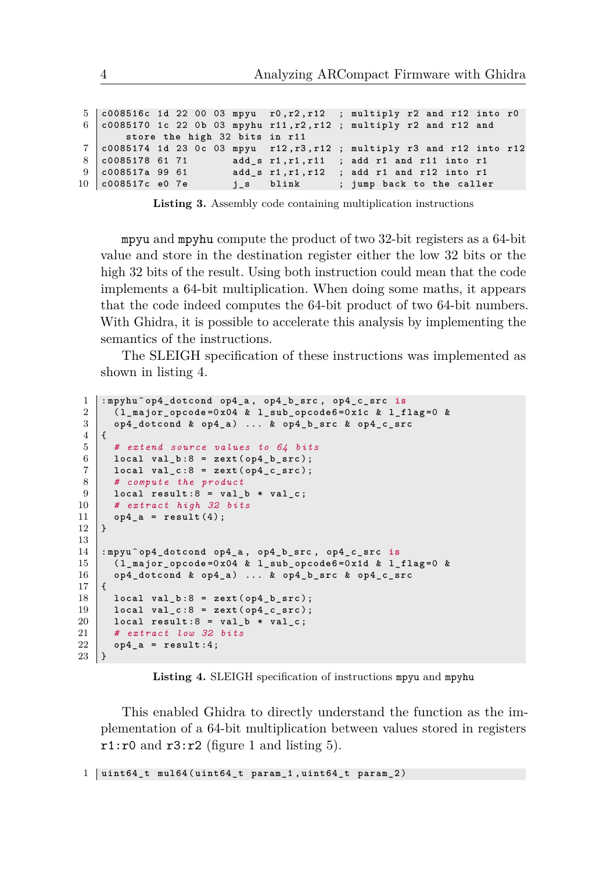| 8 c0085178 61 71 | store the high 32 bits in r11 | $5$ $\vert$ c008516c 1d 22 00 03 mpyu r0, r2, r12 ; multiply r2 and r12 into r0<br>6 $\vert$ c0085170 1c 22 0b 03 mpyhu r11, r2, r12 ; multiply r2 and r12 and<br>$7  $ $c0085174$ 1d 23 Oc 03 mpyu r12, r3, r12; multiply r3 and r12 into r12<br>add s r1, r1, r11; add r1 and r11 into r1<br>add $s$ r1, r1, r12 ; add r1 and r12 into r1<br>j_s blink ; jump back to the caller |
|------------------|-------------------------------|------------------------------------------------------------------------------------------------------------------------------------------------------------------------------------------------------------------------------------------------------------------------------------------------------------------------------------------------------------------------------------|

**Listing 3.** Assembly code containing multiplication instructions

mpyu and mpyhu compute the product of two 32-bit registers as a 64-bit value and store in the destination register either the low 32 bits or the high 32 bits of the result. Using both instruction could mean that the code implements a 64-bit multiplication. When doing some maths, it appears that the code indeed computes the 64-bit product of two 64-bit numbers. With Ghidra, it is possible to accelerate this analysis by implementing the semantics of the instructions.

The SLEIGH specification of these instructions was implemented as shown in listing [4.](#page-3-0)

```
1 : mpyhu ^ op4_dotcond op4_a , op4_b_src , op4_c_src is
2 ( l_major_opcode =0 x04 & l_sub_opcode6 =0 x1c & l_flag =0 &
3 op4_dotcond & op4_a ) ... & op4_b_src & op4_c_src
\overline{4}5 # extend source values to 64 bits
6 \mid local val_b:8 = zext(op4_b_\frac{1}{2}rc);
7 local val_c :8 = zext ( op4_c_src );
8 # compute the product
9 local result :8 = val_b * val_c ;
10 # extract high 32 bits
\begin{array}{c|c} 11 & \text{op4}_a = \text{result (4)}; \\ 12 & \text{b} \end{array}12 }
13
14 : mpyu ^ op4_dotcond op4_a , op4_b_src , op4_c_src is
15 ( l_major_opcode =0 x04 & l_sub_opcode6 =0 x1d & l_flag =0 &
16 op4_dotcond & op4_a ) ... & op4_b_src & op4_c_src
17 {
18 local val_b :8 = zext ( op4_b_src );
19 local val_c :8 = zext ( op4_c_src );
20 local result:8 = val_b * val_c;<br>21 # extract low 32 bits
21 # extract low 32 bits
   \begin{cases} \text{op4}_a = \text{result:4}; \\ \end{cases}23 }
```
**Listing 4.** SLEIGH specification of instructions mpyu and mpyhu

This enabled Ghidra to directly understand the function as the implementation of a 64-bit multiplication between values stored in registers  $r1:r0$  and  $r3:r2$  (figure [1](#page-4-0) and listing [5\)](#page-3-1).

```
1 uint64_t mul64 ( uint64_t param_1 , uint64_t param_2 )
```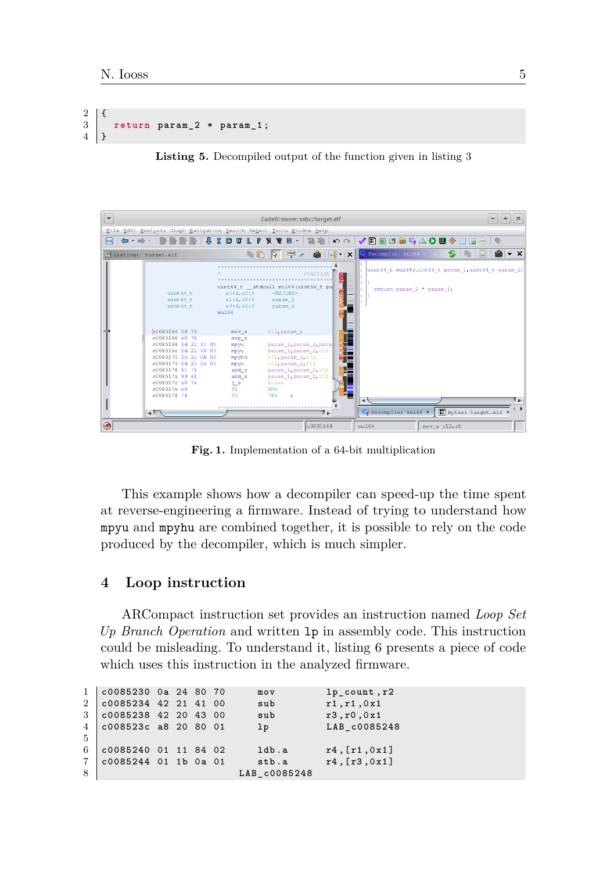$2 \mid \{$ 3 **return param\_2** \* **param\_1** ;  $4$  |  $3$ 

**Listing 5.** Decompiled output of the function given in listing [3](#page-2-2)

<span id="page-4-0"></span>

**Fig. 1.** Implementation of a 64-bit multiplication

This example shows how a decompiler can speed-up the time spent at reverse-engineering a firmware. Instead of trying to understand how mpyu and mpyhu are combined together, it is possible to rely on the code produced by the decompiler, which is much simpler.

#### **4 Loop instruction**

ARCompact instruction set provides an instruction named *Loop Set Up Branch Operation* and written lp in assembly code. This instruction could be misleading. To understand it, listing [6](#page-4-1) presents a piece of code which uses this instruction in the analyzed firmware.

<span id="page-4-1"></span> **c0085230** 0**a** 24 80 70 **mov lp\_count** ,**r2**  $2 | \text{c}0085234 | 42 21 41 00$  sub **c0085238** 42 20 43 00 **sub r3** ,**r0** ,0 **x1 c008523c a8** 20 80 01 **lp LAB\_c0085248** 5 **c0085240** 01 11 84 02 **ldb** .**a r4** ,[**r1** ,0 **x1**]  $7 \mid \text{c}0085244 \quad 01 \quad 1b \quad 0a \quad 01 \qquad \text{stb.a}$ **LAB**  $\cos 248$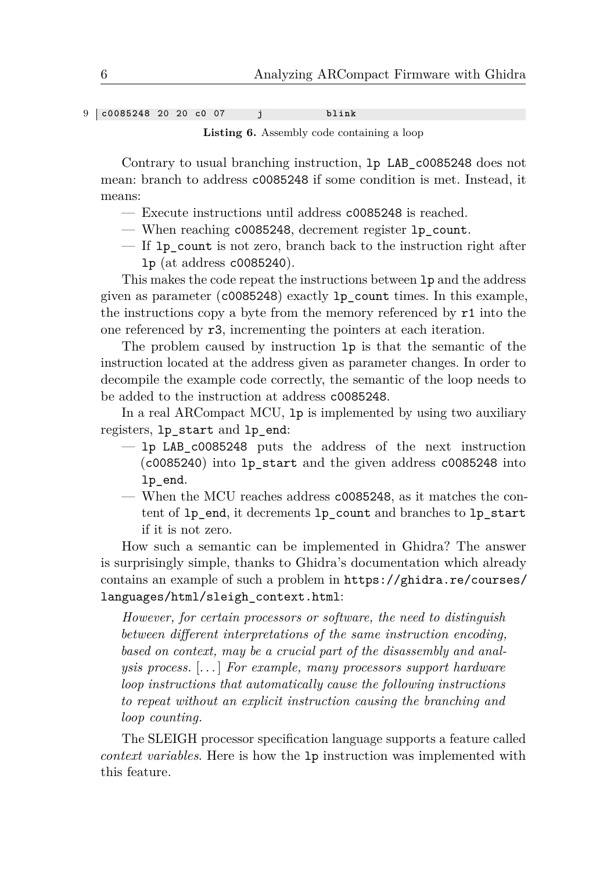9 **c0085248** 20 20 **c0** 07 **j blink**

**Listing 6.** Assembly code containing a loop

Contrary to usual branching instruction, lp LAB\_c0085248 does not mean: branch to address c0085248 if some condition is met. Instead, it means:

- Execute instructions until address c0085248 is reached.
- When reaching c0085248, decrement register lp\_count.
- If lp\_count is not zero, branch back to the instruction right after lp (at address c0085240).

This makes the code repeat the instructions between lp and the address given as parameter (c0085248) exactly lp\_count times. In this example, the instructions copy a byte from the memory referenced by r1 into the one referenced by r3, incrementing the pointers at each iteration.

The problem caused by instruction lp is that the semantic of the instruction located at the address given as parameter changes. In order to decompile the example code correctly, the semantic of the loop needs to be added to the instruction at address c0085248.

In a real ARCompact MCU, lp is implemented by using two auxiliary registers, lp\_start and lp\_end:

- $-$  lp LAB c0085248 puts the address of the next instruction (c0085240) into lp\_start and the given address c0085248 into lp\_end.
- When the MCU reaches address c0085248, as it matches the content of lp\_end, it decrements lp\_count and branches to lp\_start if it is not zero.

How such a semantic can be implemented in Ghidra? The answer is surprisingly simple, thanks to Ghidra's documentation which already contains an example of such a problem in [https://ghidra.re/courses/](https://ghidra.re/courses/languages/html/sleigh_context.html) [languages/html/sleigh\\_context.html](https://ghidra.re/courses/languages/html/sleigh_context.html):

*However, for certain processors or software, the need to distinguish between different interpretations of the same instruction encoding, based on context, may be a crucial part of the disassembly and analysis process.* [. . . ] *For example, many processors support hardware loop instructions that automatically cause the following instructions to repeat without an explicit instruction causing the branching and loop counting.*

The SLEIGH processor specification language supports a feature called *context variables*. Here is how the lp instruction was implemented with this feature.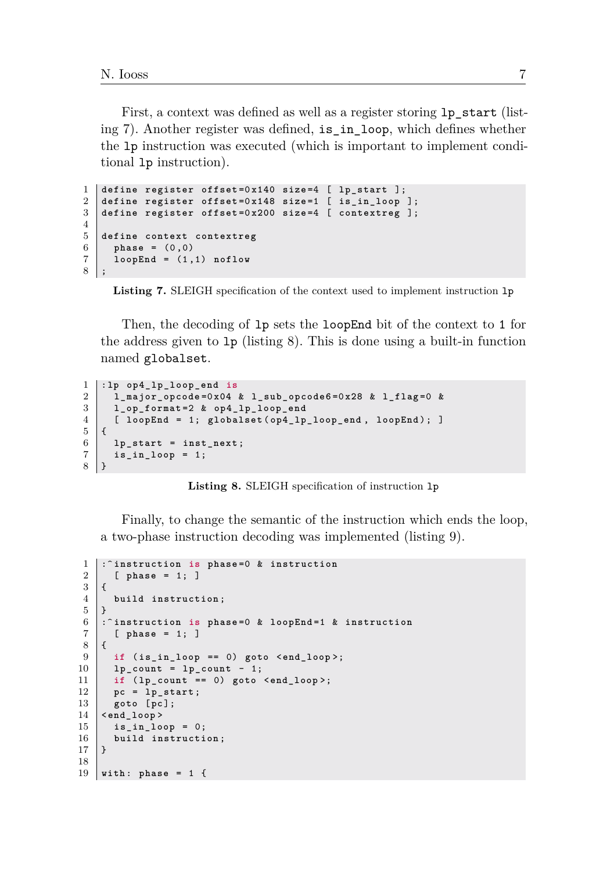First, a context was defined as well as a register storing lp\_start (listing [7\)](#page-6-0). Another register was defined, is\_in\_loop, which defines whether the lp instruction was executed (which is important to implement conditional lp instruction).

```
1 define register offset =0 x140 size =4 [ lp_start ];
2 define register offset =0 x148 size =1 [ is_in_loop ];
3 define register offset =0 x200 size =4 [ contextreg ];
4
\begin{array}{c|cc}\n5 & \text{define context context} \\
6 & \text{phase} = (0.0)\n\end{array}6 phase = (0 ,0)
7 loopEnd = (1 ,1) noflow
8 ;
```

```
Listing 7. SLEIGH specification of the context used to implement instruction lp
```
Then, the decoding of lp sets the loopEnd bit of the context to 1 for the address given to lp (listing [8\)](#page-6-1). This is done using a built-in function named globalset.

```
1 :lp op4_lp_loop_end is
2 l_major_opcode =0 x04 & l_sub_opcode6 =0 x28 & l_flag =0 &
3 l_op_format =2 & op4_lp_loop_end
4 [ loopEnd = 1; globalset ( op4_lp_loop_end , loopEnd ); ]
5 \mid \xi6 lp_start = inst_next ;
7 is_in_loop = 1;
8 }
```
**Listing 8.** SLEIGH specification of instruction lp

Finally, to change the semantic of the instruction which ends the loop, a two-phase instruction decoding was implemented (listing [9\)](#page-6-2).

```
1 : \hat{i} instruction is phase=0 & instruction<br>2 | phase = 1: 1
      2 [ phase = 1; ]
3 \mid \{4 build instruction ;
5 | }
6 :^ instruction is phase =0 & loopEnd =1 & instruction
      7 [ phase = 1; ]
8 {
9 if ( is_in_loop == 0) goto <end_loop >;
10 lp_count = lp_count - 1;
11 if ( lp_count == 0) goto <end_loop >;
12 pc = 1p\_start;13 goto [pc ];
14 \leqend loop >
15 is_in_loop = 0;
16 build instruction;<br>17 }
17 }
18
19 with : phase = 1 {
```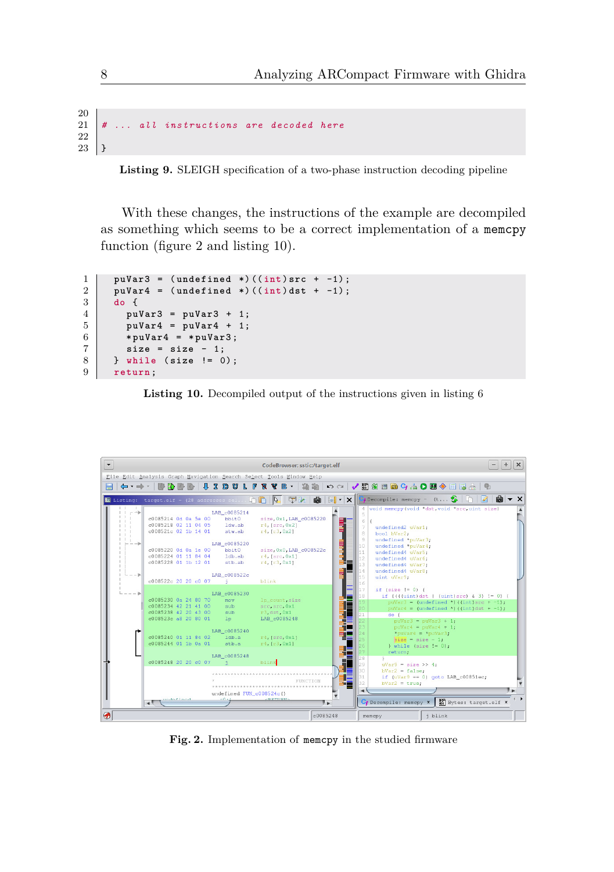```
20
21 # ... all instructions are decoded here
22
23 \mid }
```
**Listing 9.** SLEIGH specification of a two-phase instruction decoding pipeline

With these changes, the instructions of the example are decompiled as something which seems to be a correct implementation of a memcpy function (figure [2](#page-7-0) and listing [10\)](#page-7-1).

```
1 puVar3 = (undefined *)((int)src + -1);<br>2 puVar4 = (undefined *)((int)dst + -1);
2 puVar4 = ( undefined *) (( int ) dst + -1);
     3 do {
4 puVar3 = puVar3 + 1;
5 puVar4 = puVar4 + 1;
6 \mid *puVar4 = *puVar3;
7 size = size - 1;
8 } while ( size != 0);
9 return ;
```


<span id="page-7-0"></span>

**Fig. 2.** Implementation of memcpy in the studied firmware